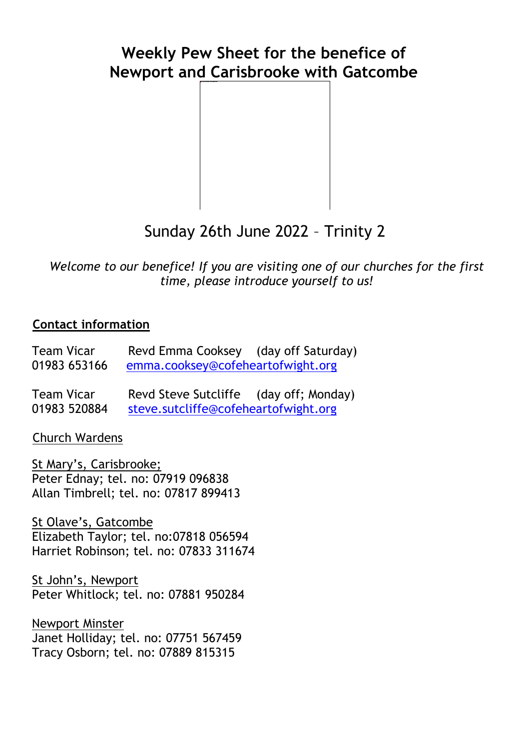## **Weekly Pew Sheet for the benefice of Newport and Carisbrooke with Gatcombe**



# Sunday 26th June 2022 – Trinity 2

*Welcome to our benefice! If you are visiting one of our churches for the first time, please introduce yourself to us!*

#### **Contact information**

| Team Vicar   | Revd Emma Cooksey                 | (day off Saturday) |
|--------------|-----------------------------------|--------------------|
| 01983 653166 | emma.cooksey@cofeheartofwight.org |                    |

Team Vicar Revd Steve Sutcliffe (day off; Monday) 01983 520884 [steve.sutcliffe@cofeheartofwight.org](mailto:steve.sutcliffe@cofeheartofwight.org)

Church Wardens

St Mary's, Carisbrooke; Peter Ednay; tel. no: 07919 096838 Allan Timbrell; tel. no: 07817 899413

St Olave's, Gatcombe Elizabeth Taylor; tel. no:07818 056594 Harriet Robinson; tel. no: 07833 311674

St John's, Newport Peter Whitlock; tel. no: 07881 950284

Newport Minster Janet Holliday; tel. no: 07751 567459 Tracy Osborn; tel. no: 07889 815315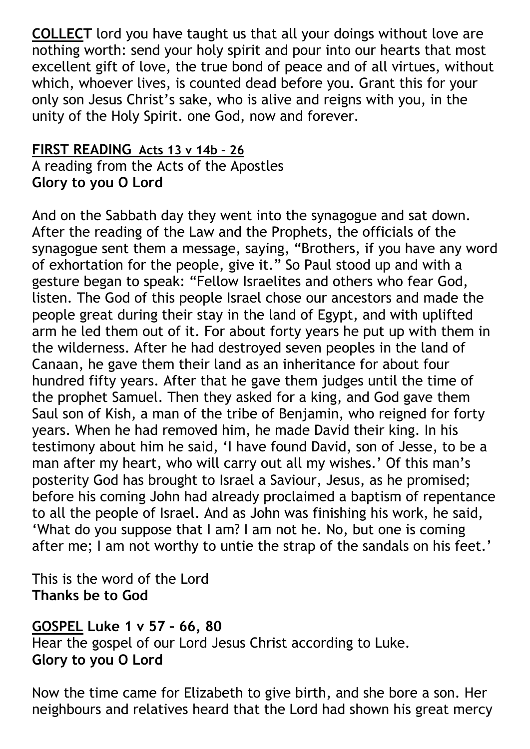**COLLECT** lord you have taught us that all your doings without love are nothing worth: send your holy spirit and pour into our hearts that most excellent gift of love, the true bond of peace and of all virtues, without which, whoever lives, is counted dead before you. Grant this for your only son Jesus Christ's sake, who is alive and reigns with you, in the unity of the Holy Spirit. one God, now and forever.

## **FIRST READING Acts 13 v 14b – 26**

A reading from the Acts of the Apostles **Glory to you O Lord**

And on the Sabbath day they went into the synagogue and sat down. After the reading of the Law and the Prophets, the officials of the synagogue sent them a message, saying, "Brothers, if you have any word of exhortation for the people, give it." So Paul stood up and with a gesture began to speak: "Fellow Israelites and others who fear God, listen. The God of this people Israel chose our ancestors and made the people great during their stay in the land of Egypt, and with uplifted arm he led them out of it. For about forty years he put up with them in the wilderness. After he had destroyed seven peoples in the land of Canaan, he gave them their land as an inheritance for about four hundred fifty years. After that he gave them judges until the time of the prophet Samuel. Then they asked for a king, and God gave them Saul son of Kish, a man of the tribe of Benjamin, who reigned for forty years. When he had removed him, he made David their king. In his testimony about him he said, 'I have found David, son of Jesse, to be a man after my heart, who will carry out all my wishes.' Of this man's posterity God has brought to Israel a Saviour, Jesus, as he promised; before his coming John had already proclaimed a baptism of repentance to all the people of Israel. And as John was finishing his work, he said, 'What do you suppose that I am? I am not he. No, but one is coming after me; I am not worthy to untie the strap of the sandals on his feet.'

This is the word of the Lord **Thanks be to God**

### **GOSPEL Luke 1 v 57 – 66, 80**

Hear the gospel of our Lord Jesus Christ according to Luke. **Glory to you O Lord** 

Now the time came for Elizabeth to give birth, and she bore a son. Her neighbours and relatives heard that the Lord had shown his great mercy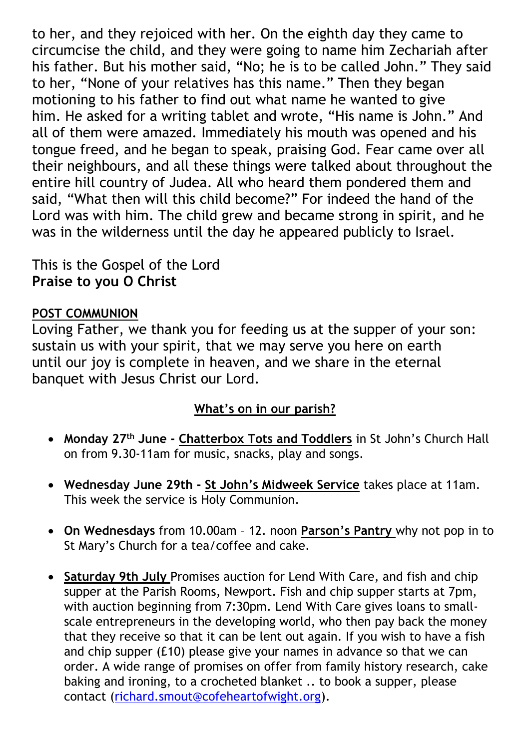to her, and they rejoiced with her. On the eighth day they came to circumcise the child, and they were going to name him Zechariah after his father. But his mother said, "No; he is to be called John." They said to her, "None of your relatives has this name." Then they began motioning to his father to find out what name he wanted to give him. He asked for a writing tablet and wrote, "His name is John." And all of them were amazed. Immediately his mouth was opened and his tongue freed, and he began to speak, praising God. Fear came over all their neighbours, and all these things were talked about throughout the entire hill country of Judea. All who heard them pondered them and said, "What then will this child become?" For indeed the hand of the Lord was with him. The child grew and became strong in spirit, and he was in the wilderness until the day he appeared publicly to Israel.

## This is the Gospel of the Lord **Praise to you O Christ**

## **POST COMMUNION**

Loving Father, we thank you for feeding us at the supper of your son: sustain us with your spirit, that we may serve you here on earth until our joy is complete in heaven, and we share in the eternal banquet with Jesus Christ our Lord.

### **What's on in our parish?**

- **Monday 27th June - Chatterbox Tots and Toddlers** in St John's Church Hall on from 9.30-11am for music, snacks, play and songs.
- **Wednesday June 29th - St John's Midweek Service** takes place at 11am. This week the service is Holy Communion.
- **On Wednesdays** from 10.00am 12. noon **Parson's Pantry** why not pop in to St Mary's Church for a tea/coffee and cake.
- **Saturday 9th July** Promises auction for Lend With Care, and fish and chip supper at the Parish Rooms, Newport. Fish and chip supper starts at 7pm, with auction beginning from 7:30pm. Lend With Care gives loans to smallscale entrepreneurs in the developing world, who then pay back the money that they receive so that it can be lent out again. If you wish to have a fish and chip supper (£10) please give your names in advance so that we can order. A wide range of promises on offer from family history research, cake baking and ironing, to a crocheted blanket .. to book a supper, please contact [\(richard.smout@cofeheartofwight.org\)](mailto:richard.smout@cofheartofwight.org).